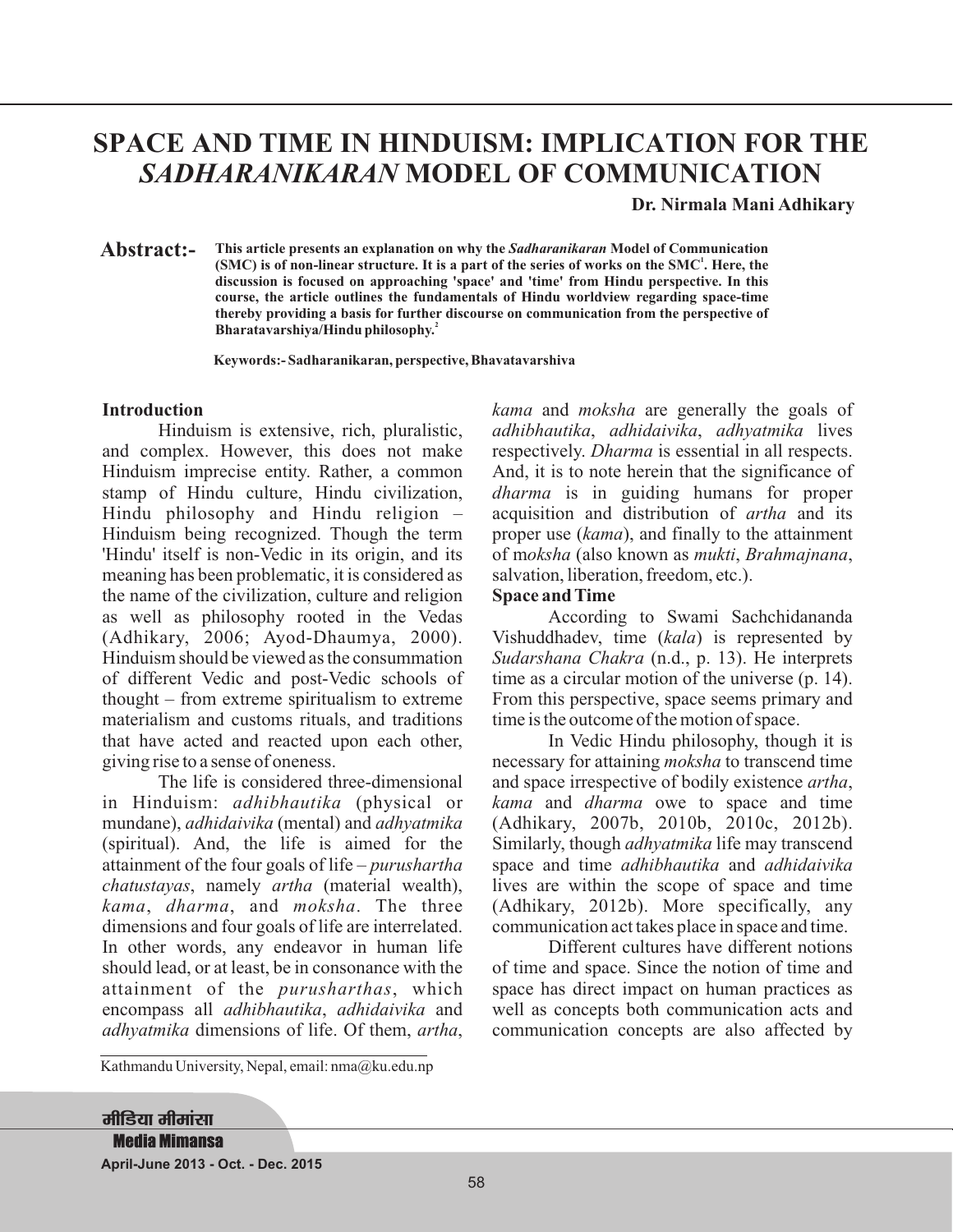# **SPACE AND TIME IN HINDUISM: IMPLICATION FOR THE** *SADHARANIKARAN* **MODEL OF COMMUNICATION**

**Dr. Nirmala Mani Adhikary**

This article presents an explanation on why the *Sadharanikaran* Model of Communication (SMC) is of non-linear structure. It is a part of the series of works on the SMC<sup>1</sup>. Here, the **discussion is focused on approaching 'space' and 'time' from Hindu perspective. In this course, the article outlines the fundamentals of Hindu worldview regarding space-time thereby providing a basis for further discourse on communication from the perspective of Bharatavarshiya/Hindu philosophy. 2 Abstract:-**

**Keywords:- Sadharanikaran, perspective, Bhavatavarshiva**

### **Introduction**

Hinduism is extensive, rich, pluralistic, and complex. However, this does not make Hinduism imprecise entity. Rather, a common stamp of Hindu culture, Hindu civilization, Hindu philosophy and Hindu religion – Hinduism being recognized. Though the term 'Hindu' itself is non-Vedic in its origin, and its meaning has been problematic, it is considered as the name of the civilization, culture and religion as well as philosophy rooted in the Vedas (Adhikary, 2006; Ayod-Dhaumya, 2000). Hinduism should be viewed as the consummation of different Vedic and post-Vedic schools of thought – from extreme spiritualism to extreme materialism and customs rituals, and traditions that have acted and reacted upon each other, giving rise to a sense of oneness.

The life is considered three-dimensional in Hinduism: *adhibhautika* (physical or mundane), *adhidaivika* (mental) and *adhyatmika* (spiritual). And, the life is aimed for the attainment of the four goals of life – *purushartha chatustayas*, namely artha (material wealth), kama, dharma, and moksha. The three dimensions and four goals of life are interrelated. In other words, any endeavor in human life should lead, or at least, be in consonance with the attainment of the *purusharthas*, which encompass all *adhibhautika*, adhidaivika and adhyatmika dimensions of life. Of them, artha,

Kathmandu University, Nepal, email: nma@ku.edu.np

kama and moksha are generally the goals of *adhibhautika, adhidaivika, adhyatmika* lives respectively. *Dharma* is essential in all respects. And, it is to note herein that the significance of dharma is in guiding humans for proper acquisition and distribution of *artha* and its proper use (kama), and finally to the attainment of moksha (also known as mukti, Brahmajnana, salvation, liberation, freedom, etc.).

### **Space and Time**

According to Swami Sachchidananda Vishuddhadev, time (kala) is represented by Sudarshana Chakra (n.d., p. 13). He interprets time as a circular motion of the universe (p. 14). From this perspective, space seems primary and time is the outcome of the motion of space.

In Vedic Hindu philosophy, though it is necessary for attaining *moksha* to transcend time and space irrespective of bodily existence artha, kama and *dharma* owe to space and time (Adhikary, 2007b, 2010b, 2010c, 2012b). Similarly, though *adhyatmika* life may transcend space and time *adhibhautika* and *adhidaivika* lives are within the scope of space and time (Adhikary, 2012b). More specifically, any communication act takes place in space and time.

Different cultures have different notions of time and space. Since the notion of time and space has direct impact on human practices as well as concepts both communication acts and communication concepts are also affected by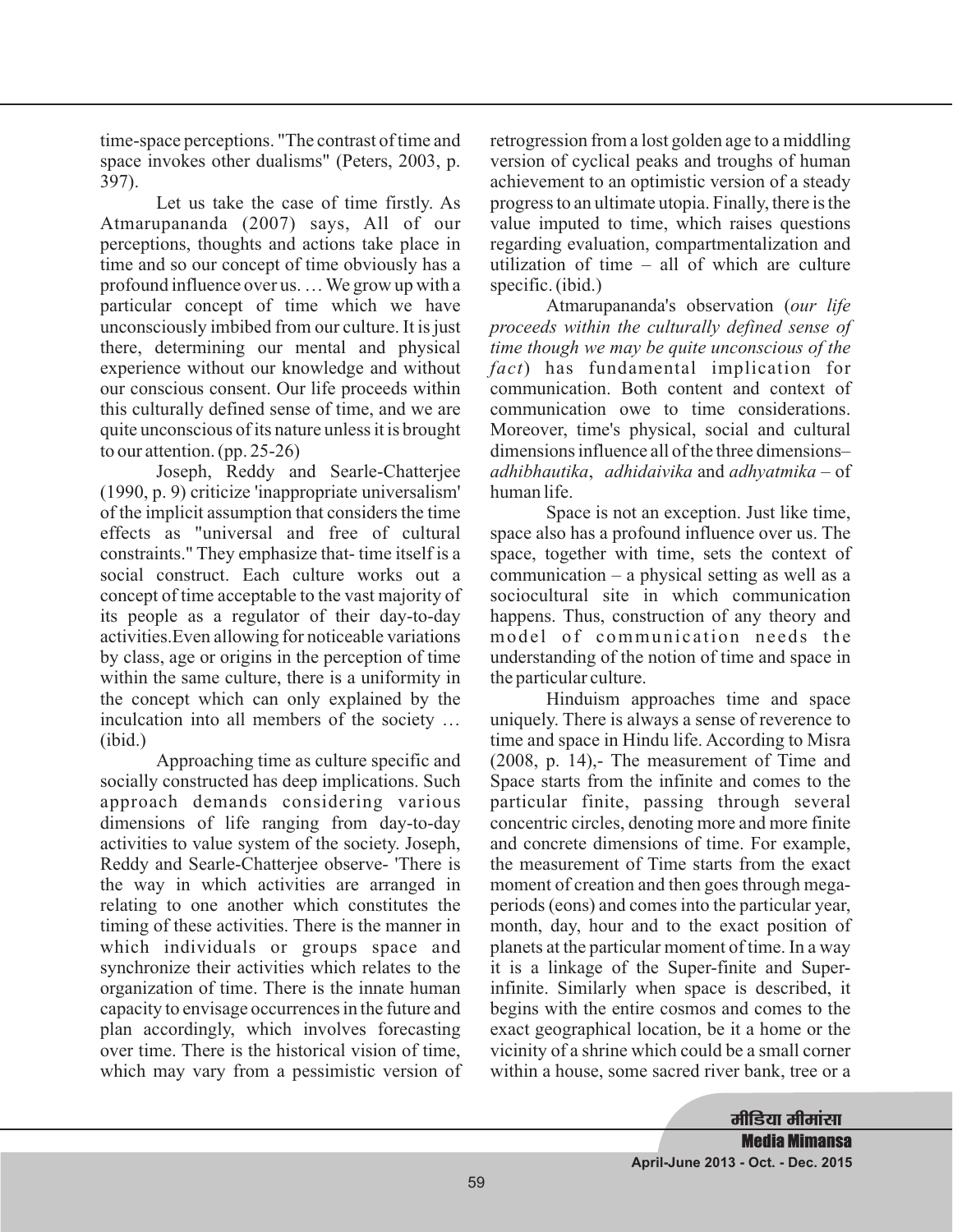time-space perceptions. "The contrast of time and space invokes other dualisms" (Peters, 2003, p. 397).

Let us take the case of time firstly. As Atmarupananda (2007) says, All of our perceptions, thoughts and actions take place in time and so our concept of time obviously has a profound influence over us. … We grow up with a particular concept of time which we have unconsciously imbibed from our culture. It is just there, determining our mental and physical experience without our knowledge and without our conscious consent. Our life proceeds within this culturally defined sense of time, and we are quite unconscious of its nature unless it is brought to our attention. (pp. 25-26)

Joseph, Reddy and Searle-Chatterjee (1990, p. 9) criticize 'inappropriate universalism' of the implicit assumption that considers the time effects as "universal and free of cultural constraints." They emphasize that- time itself is a social construct. Each culture works out a concept of time acceptable to the vast majority of its people as a regulator of their day-to-day activities.Even allowing for noticeable variations by class, age or origins in the perception of time within the same culture, there is a uniformity in the concept which can only explained by the inculcation into all members of the society … (ibid.)

Approaching time as culture specific and socially constructed has deep implications. Such approach demands considering various dimensions of life ranging from day-to-day activities to value system of the society. Joseph, Reddy and Searle-Chatterjee observe- 'There is the way in which activities are arranged in relating to one another which constitutes the timing of these activities. There is the manner in which individuals or groups space and synchronize their activities which relates to the organization of time. There is the innate human capacity to envisage occurrences in the future and plan accordingly, which involves forecasting over time. There is the historical vision of time, which may vary from a pessimistic version of

retrogression from a lost golden age to a middling version of cyclical peaks and troughs of human achievement to an optimistic version of a steady progress to an ultimate utopia. Finally, there is the value imputed to time, which raises questions regarding evaluation, compartmentalization and utilization of time – all of which are culture specific. (ibid.)

Atmarupananda's observation ( *our life* ) has fundamental implication for *fact* communication. Both content and context of communication owe to time considerations. Moreover, time's physical, social and cultural dimensions influence all of the three dimensions– adhibhautika, adhidaivika <mark>and</mark> adhyatmika – of human life. *proceeds within the culturally defined sense of time though we may be quite unconscious of the*

Space is not an exception. Just like time, space also has a profound influence over us. The space, together with time, sets the context of communication – a physical setting as well as a sociocultural site in which communication happens. Thus, construction of any theory and model of communication needs the understanding of the notion of time and space in the particular culture.

Hinduism approaches time and space uniquely. There is always a sense of reverence to time and space in Hindu life. According to Misra (2008, p. 14),- The measurement of Time and Space starts from the infinite and comes to the particular finite, passing through several concentric circles, denoting more and more finite and concrete dimensions of time. For example, the measurement of Time starts from the exact moment of creation and then goes through megaperiods (eons) and comes into the particular year, month, day, hour and to the exact position of planets at the particular moment of time. In a way it is a linkage of the Super-finite and Superinfinite. Similarly when space is described, it begins with the entire cosmos and comes to the exact geographical location, be it a home or the vicinity of a shrine which could be a small corner within a house, some sacred river bank, tree or a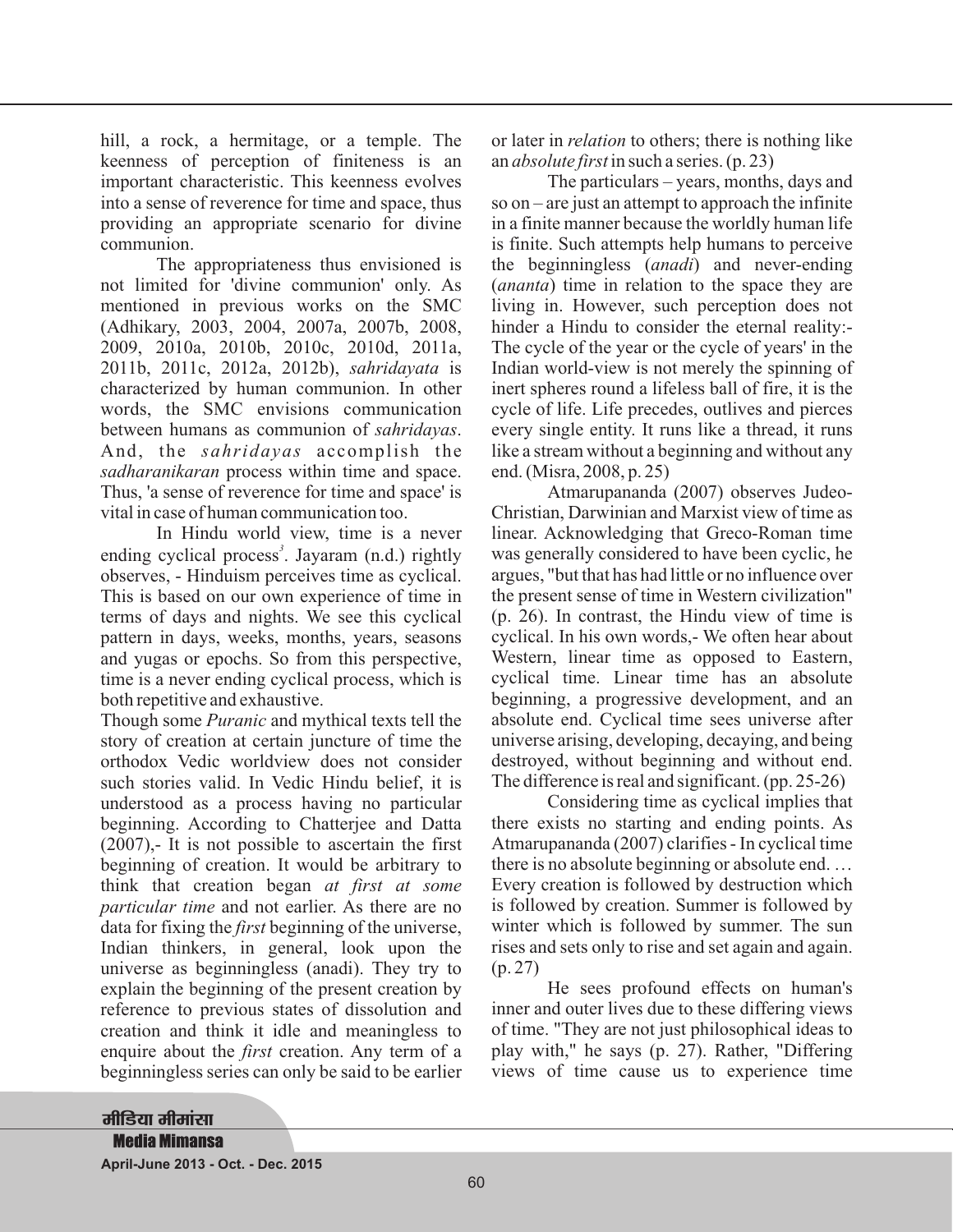hill, a rock, a hermitage, or a temple. The keenness of perception of finiteness is an important characteristic. This keenness evolves into a sense of reverence for time and space, thus providing an appropriate scenario for divine communion.

The appropriateness thus envisioned is not limited for 'divine communion' only. As mentioned in previous works on the SMC (Adhikary, 2003, 2004, 2007a, 2007b, 2008, 2009, 2010a, 2010b, 2010c, 2010d, 2011a, 2011b, 2011c, 2012a, 2012b), sahridayata is characterized by human communion. In other words, the SMC envisions communication between humans as communion of sahridayas. And, the *sahridayas* accomplish the sadharanikaran process within time and space. Thus, 'a sense of reverence for time and space' is vital in case of human communication too.

In Hindu world view, time is a never ending cyclical process<sup>3</sup>. Jayaram (n.d.) rightly observes, - Hinduism perceives time as cyclical. This is based on our own experience of time in terms of days and nights. We see this cyclical pattern in days, weeks, months, years, seasons and yugas or epochs. So from this perspective, time is a never ending cyclical process, which is both repetitive and exhaustive.

Though some *Puranic* and mythical texts tell the story of creation at certain juncture of time the orthodox Vedic worldview does not consider such stories valid. In Vedic Hindu belief, it is understood as a process having no particular beginning. According to Chatterjee and Datta  $(2007)$ , It is not possible to ascertain the first beginning of creation. It would be arbitrary to think that creation began *at first at some* particular time and not earlier. As there are no data for fixing the *first* beginning of the universe, Indian thinkers, in general, look upon the universe as beginningless (anadi). They try to explain the beginning of the present creation by reference to previous states of dissolution and creation and think it idle and meaningless to enquire about the *first* creation. Any term of a beginningless series can only be said to be earlier

or later in *relation* to others; there is nothing like an *absolute first* in such a series. (p. 23)

The particulars – years, months, days and so on – are just an attempt to approach the infinite in a finite manner because the worldly human life is finite. Such attempts help humans to perceive the beginningless (*anadi*) and never-ending (*ananta*) time in relation to the space they are living in. However, such perception does not hinder a Hindu to consider the eternal reality:- The cycle of the year or the cycle of years' in the Indian world-view is not merely the spinning of inert spheres round a lifeless ball of fire, it is the cycle of life. Life precedes, outlives and pierces every single entity. It runs like a thread, it runs like a stream without a beginning and without any end. (Misra, 2008, p. 25)

Atmarupananda (2007) observes Judeo-Christian, Darwinian and Marxist view of time as linear. Acknowledging that Greco-Roman time was generally considered to have been cyclic, he argues, "but that has had little or no influence over the present sense of time in Western civilization" (p. 26). In contrast, the Hindu view of time is cyclical. In his own words,- We often hear about Western, linear time as opposed to Eastern, cyclical time. Linear time has an absolute beginning, a progressive development, and an absolute end. Cyclical time sees universe after universe arising, developing, decaying, and being destroyed, without beginning and without end. The difference is real and significant. (pp. 25-26)

Considering time as cyclical implies that there exists no starting and ending points. As Atmarupananda (2007) clarifies - In cyclical time there is no absolute beginning or absolute end. … Every creation is followed by destruction which is followed by creation. Summer is followed by winter which is followed by summer. The sun rises and sets only to rise and set again and again. (p. 27)

He sees profound effects on human's inner and outer lives due to these differing views of time. "They are not just philosophical ideas to play with," he says (p. 27). Rather, "Differing views of time cause us to experience time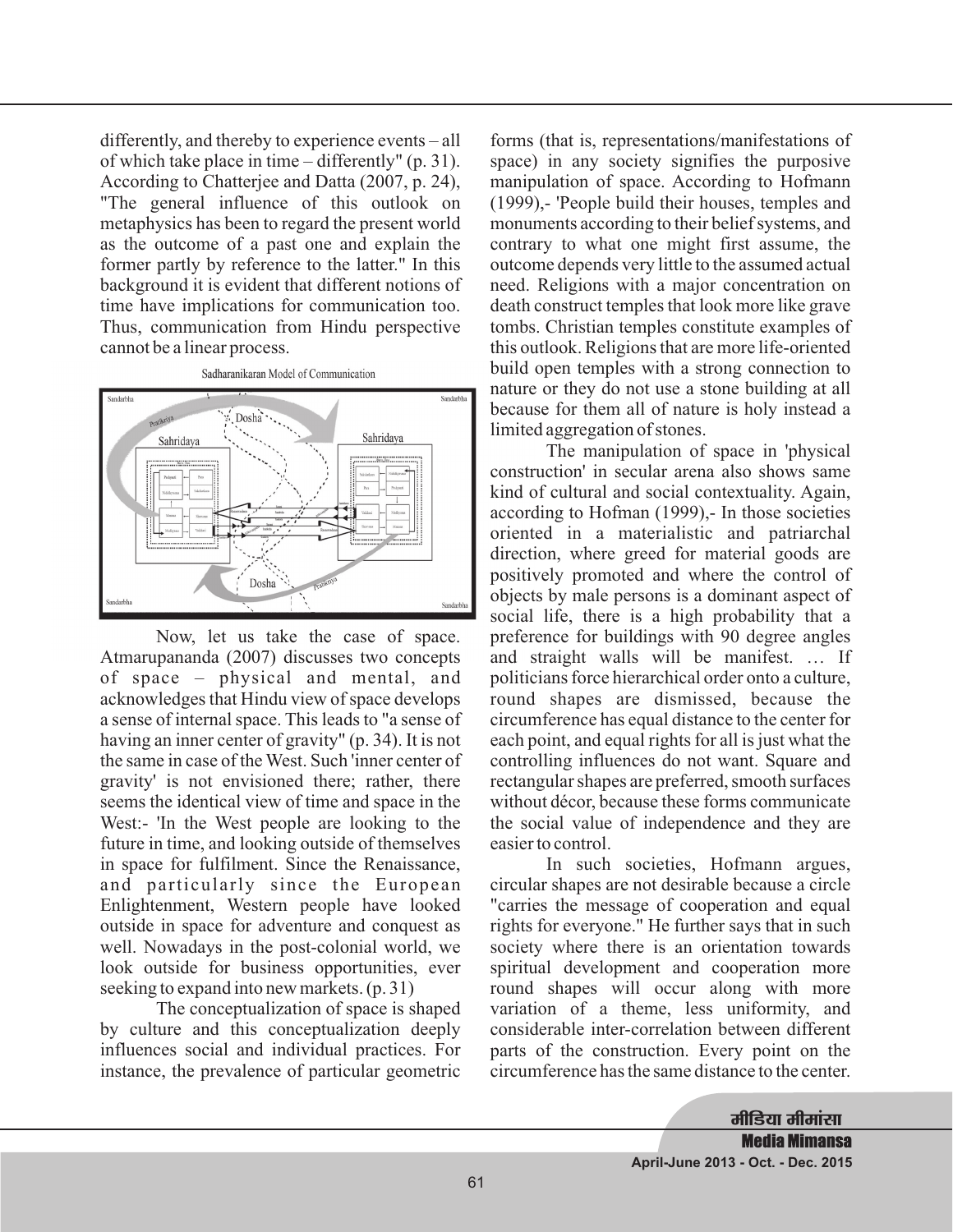differently, and thereby to experience events – all of which take place in time – differently" (p. 31). According to Chatterjee and Datta (2007, p. 24), "The general influence of this outlook on metaphysics has been to regard the present world as the outcome of a past one and explain the former partly by reference to the latter." In this background it is evident that different notions of time have implications for communication too. Thus, communication from Hindu perspective cannot be a linear process.



Now, let us take the case of space. Atmarupananda (2007) discusses two concepts of space – physical and mental, and acknowledges that Hindu view of space develops a sense of internal space. This leads to "a sense of having an inner center of gravity" (p. 34). It is not the same in case of the West. Such 'inner center of gravity' is not envisioned there; rather, there seems the identical view of time and space in the West:- 'In the West people are looking to the future in time, and looking outside of themselves in space for fulfilment. Since the Renaissance, and particularly since the European Enlightenment, Western people have looked outside in space for adventure and conquest as well. Nowadays in the post-colonial world, we look outside for business opportunities, ever seeking to expand into new markets. (p. 31)

The conceptualization of space is shaped by culture and this conceptualization deeply influences social and individual practices. For instance, the prevalence of particular geometric

forms (that is, representations/manifestations of space) in any society signifies the purposive manipulation of space. According to Hofmann (1999),- 'People build their houses, temples and monuments according to their belief systems, and contrary to what one might first assume, the outcome depends very little to the assumed actual need. Religions with a major concentration on death construct temples that look more like grave tombs. Christian temples constitute examples of this outlook. Religions that are more life-oriented build open temples with a strong connection to nature or they do not use a stone building at all because for them all of nature is holy instead a limited aggregation of stones.

The manipulation of space in 'physical construction' in secular arena also shows same kind of cultural and social contextuality. Again, according to Hofman (1999),- In those societies oriented in a materialistic and patriarchal direction, where greed for material goods are positively promoted and where the control of objects by male persons is a dominant aspect of social life, there is a high probability that a preference for buildings with 90 degree angles and straight walls will be manifest. … If politicians force hierarchical order onto a culture, round shapes are dismissed, because the circumference has equal distance to the center for each point, and equal rights for all is just what the controlling influences do not want. Square and rectangular shapes are preferred, smooth surfaces without décor, because these forms communicate the social value of independence and they are easier to control.

In such societies, Hofmann argues, circular shapes are not desirable because a circle "carries the message of cooperation and equal rights for everyone." He further says that in such society where there is an orientation towards spiritual development and cooperation more round shapes will occur along with more variation of a theme, less uniformity, and considerable inter-correlation between different parts of the construction. Every point on the circumference has the same distance to the center.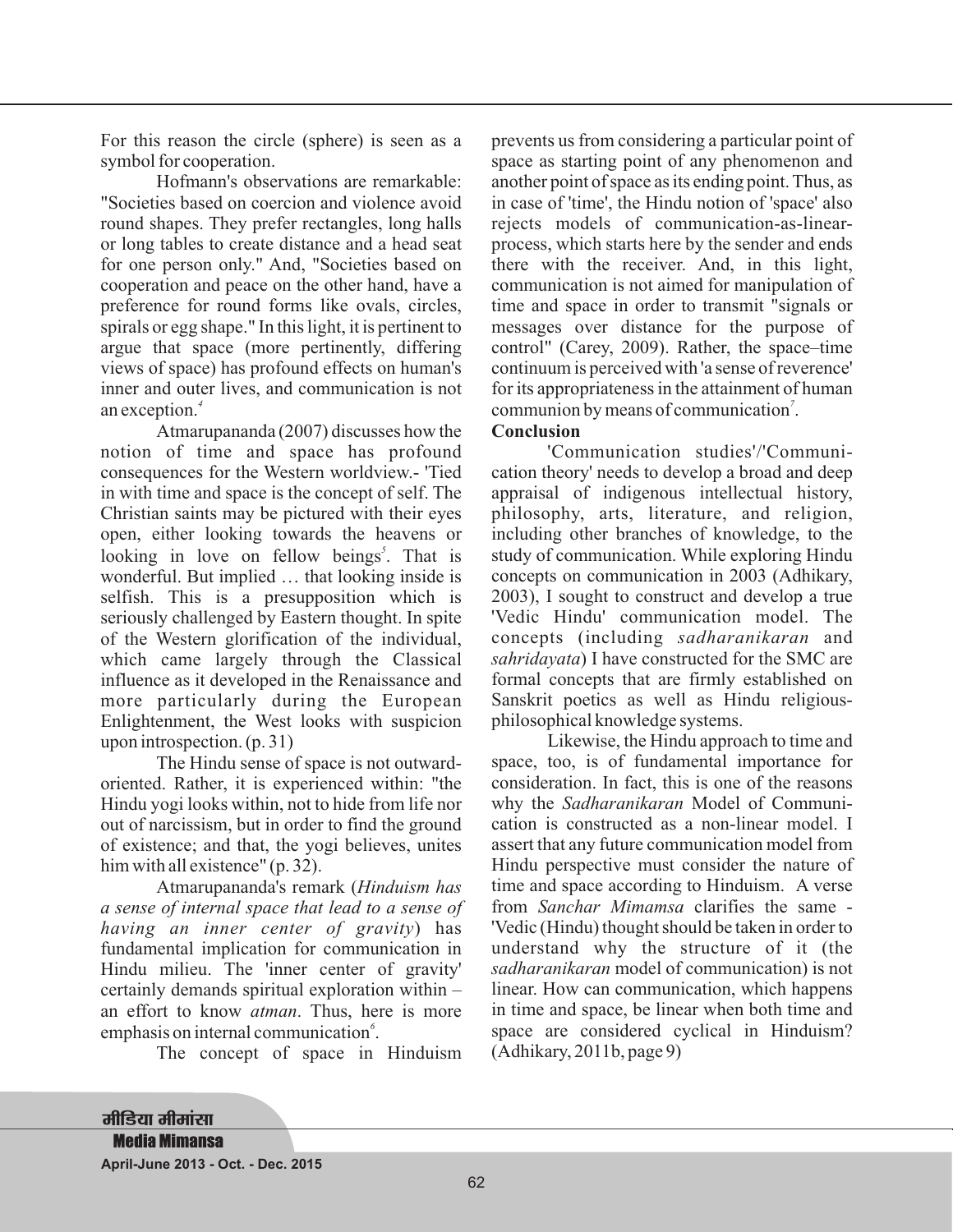For this reason the circle (sphere) is seen as a symbol for cooperation.

Hofmann's observations are remarkable: "Societies based on coercion and violence avoid round shapes. They prefer rectangles, long halls or long tables to create distance and a head seat for one person only." And, "Societies based on cooperation and peace on the other hand, have a preference for round forms like ovals, circles, spirals or egg shape." In this light, it is pertinent to argue that space (more pertinently, differing views of space) has profound effects on human's inner and outer lives, and communication is not an exception. *4*

Atmarupananda (2007) discusses how the notion of time and space has profound consequences for the Western worldview.- 'Tied in with time and space is the concept of self. The Christian saints may be pictured with their eyes open, either looking towards the heavens or looking in love on fellow beings<sup>5</sup>. That is wonderful. But implied … that looking inside is selfish. This is a presupposition which is seriously challenged by Eastern thought. In spite of the Western glorification of the individual, which came largely through the Classical influence as it developed in the Renaissance and more particularly during the European Enlightenment, the West looks with suspicion upon introspection. (p. 31)

The Hindu sense of space is not outwardoriented. Rather, it is experienced within: "the Hindu yogi looks within, not to hide from life nor out of narcissism, but in order to find the ground of existence; and that, the yogi believes, unites him with all existence" (p. 32).

Atmarupananda's remark ( *Hinduism has having an inner center of gravity*) has fundamental implication for communication in Hindu milieu. The 'inner center of gravity' certainly demands spiritual exploration within – an effort to know *atman*. Thus, here is more emphasis on internal communication<sup>6</sup>. *a sense of internal space that lead to a sense of*

The concept of space in Hinduism

prevents us from considering a particular point of space as starting point of any phenomenon and another point of space as its ending point. Thus, as in case of 'time', the Hindu notion of 'space' also rejects models of communication-as-linearprocess, which starts here by the sender and ends there with the receiver. And, in this light, communication is not aimed for manipulation of time and space in order to transmit "signals or messages over distance for the purpose of control" (Carey, 2009). Rather, the space–time continuum is perceived with 'a sense of reverence' for its appropriateness in the attainment of human communion by means of communication<sup>7</sup>.

## **Conclusion References References -**

'Communication studies'/'Communication theory' needs to develop a broad and deep appraisal of indigenous intellectual history, philosophy, arts, literature, and religion, including other branches of knowledge, to the study of communication. While exploring Hindu concepts on communication in 2003 (Adhikary, 2003), I sought to construct and develop a true 'Vedic Hindu' communication model. The concepts (including sadharanikaran and sahridayata) I have constructed for the SMC are formal concepts that are firmly established on Sanskrit poetics as well as Hindu religiousphilosophical knowledge systems.

Likewise, the Hindu approach to time and space, too, is of fundamental importance for consideration. In fact, this is one of the reasons why the Sadharanikaran Model of Communication is constructed as a non-linear model. I assert that any future communication model from Hindu perspective must consider the nature of time and space according to Hinduism. A verse from Sanchar Mimamsa clarifies the same -'Vedic (Hindu) thought should be taken in order to understand why the structure of it (the sadharanikaran model of communication) is not linear. How can communication, which happens in time and space, be linear when both time and space are considered cyclical in Hinduism? (Adhikary, 2011b, page 9)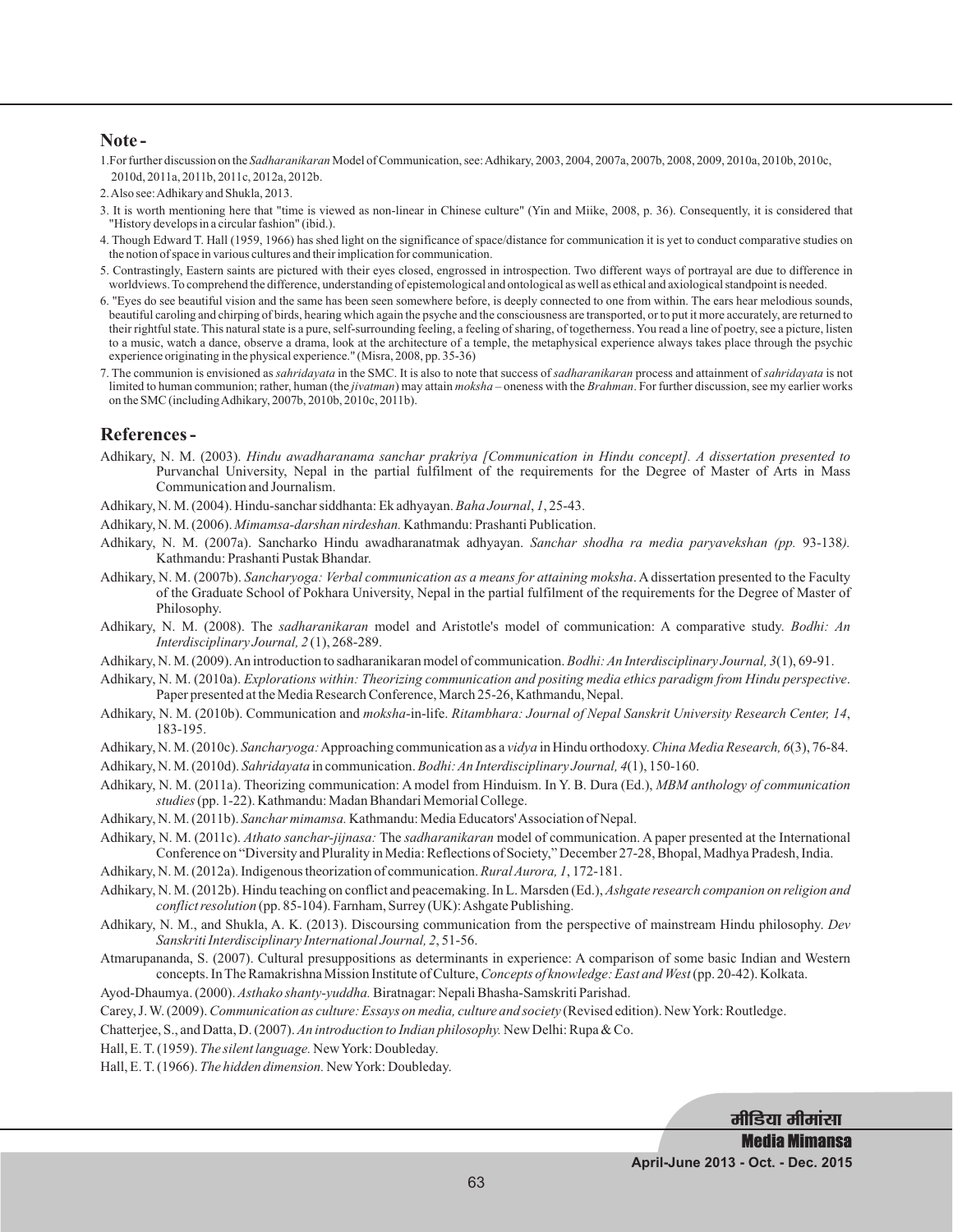#### **Note -**

- 1. For further discussion on the *Sadharanikaran* Model of Communication, see: Adhikary, 2003, 2004, 2007a, 2007b, 2008, 2009, 2010a, 2010b, 2010c, 2010d, 2011a, 2011b, 2011c, 2012a, 2012b.
- 2.Also see:Adhikary and Shukla, 2013.
- 3. It is worth mentioning here that "time is viewed as non-linear in Chinese culture" (Yin and Miike, 2008, p. 36). Consequently, it is considered that "History develops in a circular fashion" (ibid.).
- 4. Though Edward T. Hall (1959, 1966) has shed light on the significance of space/distance for communication it is yet to conduct comparative studies on the notion of space in various cultures and their implication for communication.
- 5. Contrastingly, Eastern saints are pictured with their eyes closed, engrossed in introspection. Two different ways of portrayal are due to difference in worldviews. To comprehend the difference, understanding of epistemological and ontological as well as ethical and axiological standpoint is needed.
- 6. "Eyes do see beautiful vision and the same has been seen somewhere before, is deeply connected to one from within. The ears hear melodious sounds, beautiful caroling and chirping of birds, hearing which again the psyche and the consciousness are transported, or to put it more accurately, are returned to their rightful state. This natural state is a pure, self-surrounding feeling, a feeling of sharing, of togetherness. You read a line of poetry, see a picture, listen to a music, watch a dance, observe a drama, look at the architecture of a temple, the metaphysical experience always takes place through the psychic experience originating in the physical experience." (Misra, 2008, pp. 35-36)
- 7. The communion is envisioned as *sahridayata* in the SMC. It is also to note that success of *sadharanikaran* process and attainment of *sahridayata* is not limited to human communion; rather, human (the *jivatman*) may attain *moksha* – oneness with the Brahman. For further discussion, see my earlier works on the SMC (includingAdhikary, 2007b, 2010b, 2010c, 2011b).

### **References -**

- Adhikary, N. M. (2003). *Hindu awadharanama sanchar prakriya [Communication in Hindu concept]. A dissertation presented to* Purvanchal University, Nepal in the partial fulfilment of the requirements for the Degree of Master of Arts in Mass Communication and Journalism.
- Adhikary, N. M. (2004). Hindu-sanchar siddhanta: Ek adhyayan. Baha Journal, 1, 25-43.
- Adhikary, N. M. (2006). Mimamsa-darshan nirdeshan. Kathmandu: Prashanti Publication.
- Adhikary, N. M. (2007a). Sancharko Hindu awadharanatmak adhyayan. Sanchar shodha ra media paryavekshan (pp. 93-138). Kathmandu: Prashanti Pustak Bhandar.
- Adhikary, N. M. (2007b). Sancharyoga: Verbal communication as a means for attaining moksha. A dissertation presented to the Faculty of the Graduate School of Pokhara University, Nepal in the partial fulfilment of the requirements for the Degree of Master of Philosophy.
- Adhikary, N. M. (2008). The *sadharanikaran* model and Aristotle's model of communication: A comparative study. Bodhi: An (1), 268-289. *Interdisciplinary Journal, 2*
- Adhikary, N. M. (2009). An introduction to sadharanikaran model of communication. *Bodhi: An Interdisciplinary Journal*, 3(1), 69-91.
- Adhikary, N. M. (2010a). *Explorations within: Theorizing communication and positing media ethics paradigm from Hindu perspective*. Paper presented at the Media Research Conference, March 25-26, Kathmandu, Nepal.
- Adhikary, N. M. (2010b). Communication and moksha-in-life. Ritambhara: Journal of Nepal Sanskrit University Research Center, 14, 183-195.
- Adhikary, N. M. (2010c). Sancharyoga: Approaching communication as a vidya in Hindu orthodoxy. China Media Research, 6(3), 76-84.
- Adhikary, N. M. (2010d). Sahridayata in communication. Bodhi: An Interdisciplinary Journal, 4(1), 150-160.
- Adhikary, N. M. (2011a). Theorizing communication: A model from Hinduism. In Y. B. Dura (Ed.), *MBM anthology of communication* (pp. 1-22). Kathmandu: Madan Bhandari Memorial College. *studies*
- Adhikary, N. M. (2011b). Sanchar mimamsa. Kathmandu: Media Educators' Association of Nepal.
- Adhikary, N. M. (2011c). Athato sanchar-jijnasa: The sadharanikaran model of communication. A paper presented at the International Conference on "Diversity and Plurality in Media: Reflections of Society," December 27-28, Bhopal, Madhya Pradesh, India.
- Adhikary, N. M. (2012a). Indigenous theorization of communication. *Rural Aurora*, 1, 172-181.
- Adhikary, N. M. (2012b). Hindu teaching on conflict and peacemaking. In L. Marsden (Ed.), *Ashgate research companion on religion and* conflict resolution (pp. 85-104). Farnham, Surrey (UK): Ashgate Publishing.
- Adhikary, N. M., and Shukla, A. K. (2013). Discoursing communication from the perspective of mainstream Hindu philosophy. *Dev* Sanskriti Interdisciplinary International Journal, 2, 51-56.
- Atmarupananda, S. (2007). Cultural presuppositions as determinants in experience: A comparison of some basic Indian and Western concepts. In The Ramakrishna Mission Institute of Culture, Concepts of knowledge: East and West (pp. 20-42). Kolkata.
- Ayod-Dhaumya. (2000). Asthako shanty-yuddha. Biratnagar: Nepali Bhasha-Samskriti Parishad.
- Carey, J. W. (2009). Communication as culture: Essays on media, culture and society (Revised edition). New York: Routledge.
- Chatterjee, S., and Datta, D. (2007). An introduction to Indian philosophy. New Delhi: Rupa & Co.
- Hall, E.T. (1959). The silent language. New York: Doubleday.
- Hall, E. T. (1966). The hidden dimension. New York: Doubleday.